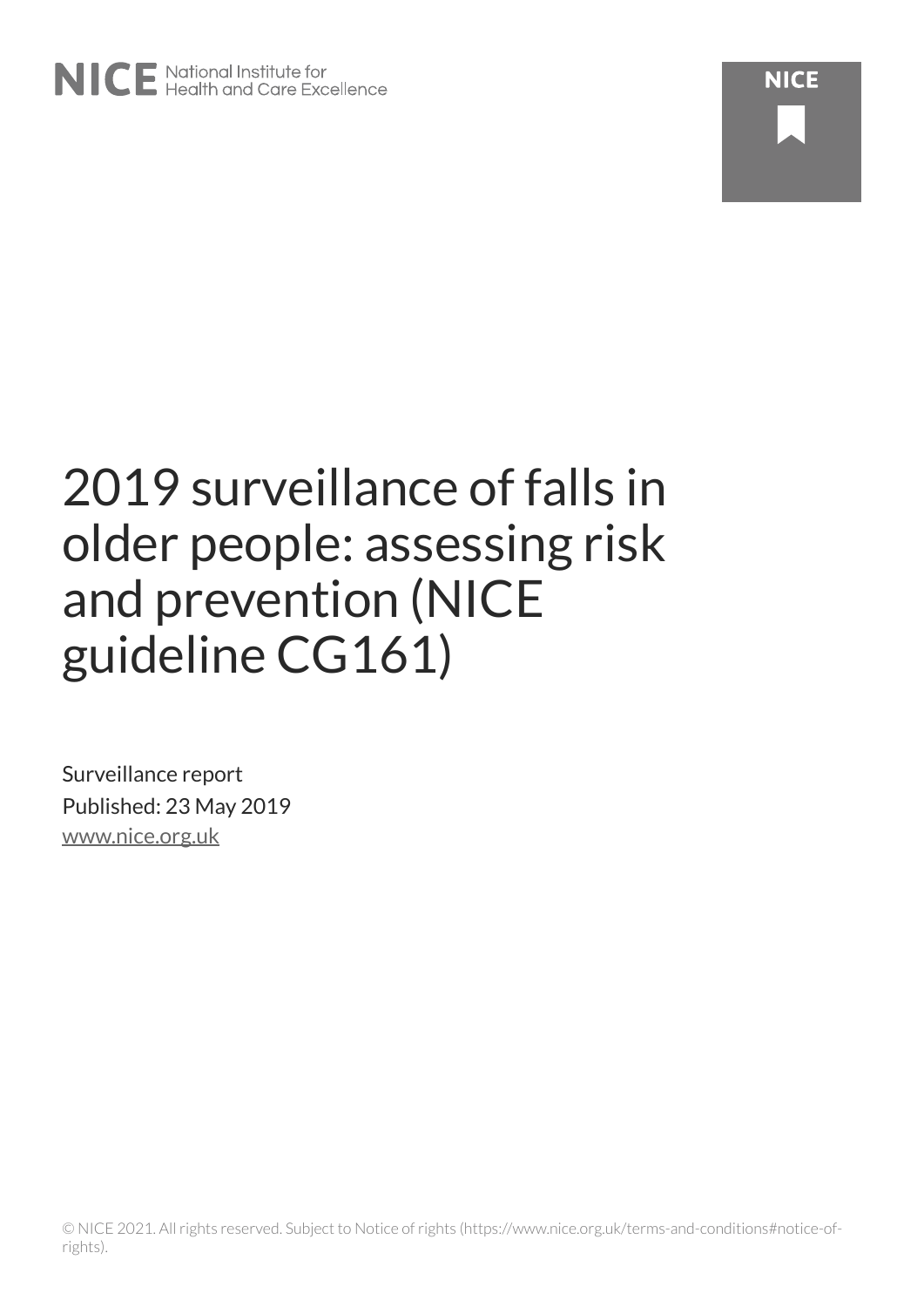# 2019 surveillance of falls in older people: assessing risk and prevention (NICE guideline CG161)

Surveillance report Published: 23 May 2019 [www.nice.org.uk](https://www.nice.org.uk/)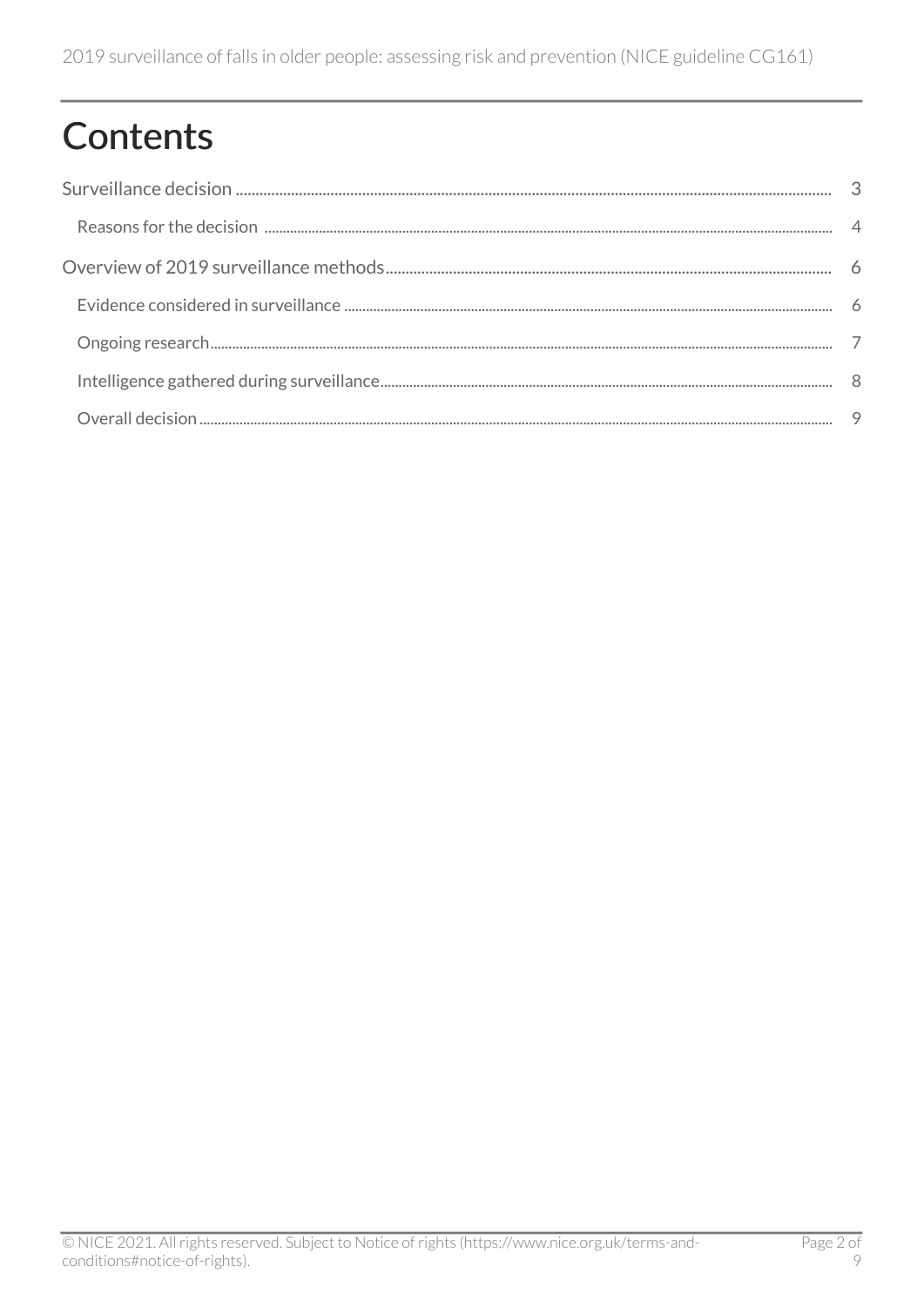## Contents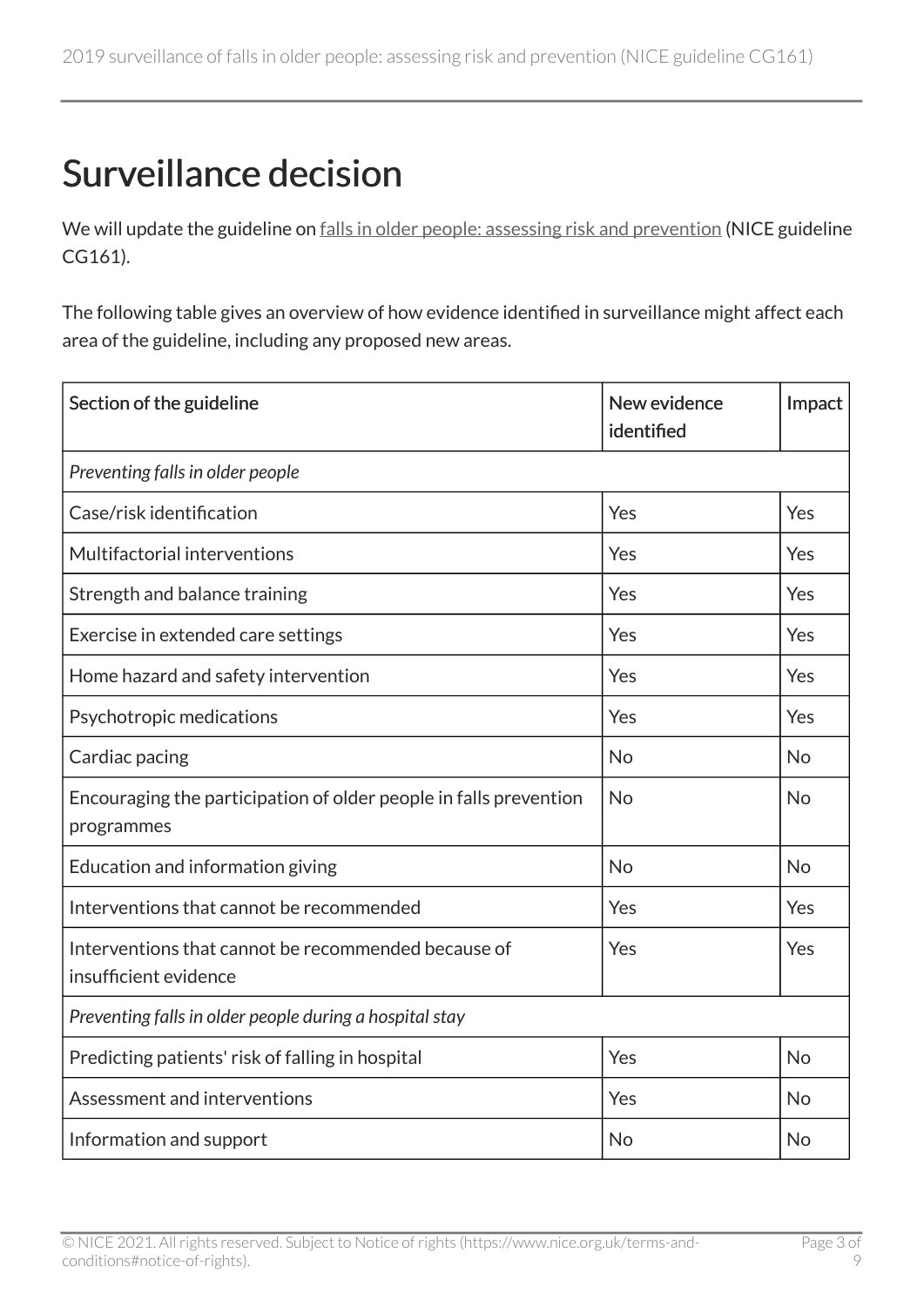## <span id="page-2-0"></span>Surveillance decision

We will update the guideline on [falls in older people: assessing risk and prevention](https://www.nice.org.uk/guidance/cg161) (NICE guideline CG161).

The following table gives an overview of how evidence identified in surveillance might affect each area of the guideline, including any proposed new areas.

| Section of the guideline                                                        | New evidence<br>identified | Impact    |  |
|---------------------------------------------------------------------------------|----------------------------|-----------|--|
| Preventing falls in older people                                                |                            |           |  |
| Case/risk identification                                                        | Yes                        | Yes       |  |
| Multifactorial interventions                                                    | Yes                        | Yes       |  |
| Strength and balance training                                                   | Yes                        | Yes       |  |
| Exercise in extended care settings                                              | Yes                        | Yes       |  |
| Home hazard and safety intervention                                             | Yes                        | Yes       |  |
| Psychotropic medications                                                        | Yes                        | Yes       |  |
| Cardiac pacing                                                                  | <b>No</b>                  | <b>No</b> |  |
| Encouraging the participation of older people in falls prevention<br>programmes | <b>No</b>                  | <b>No</b> |  |
| Education and information giving                                                | <b>No</b>                  | <b>No</b> |  |
| Interventions that cannot be recommended                                        | Yes                        | Yes       |  |
| Interventions that cannot be recommended because of<br>insufficient evidence    | Yes                        | Yes       |  |
| Preventing falls in older people during a hospital stay                         |                            |           |  |
| Predicting patients' risk of falling in hospital                                | Yes                        | <b>No</b> |  |
| Assessment and interventions                                                    | Yes                        | <b>No</b> |  |
| Information and support                                                         | <b>No</b>                  | No        |  |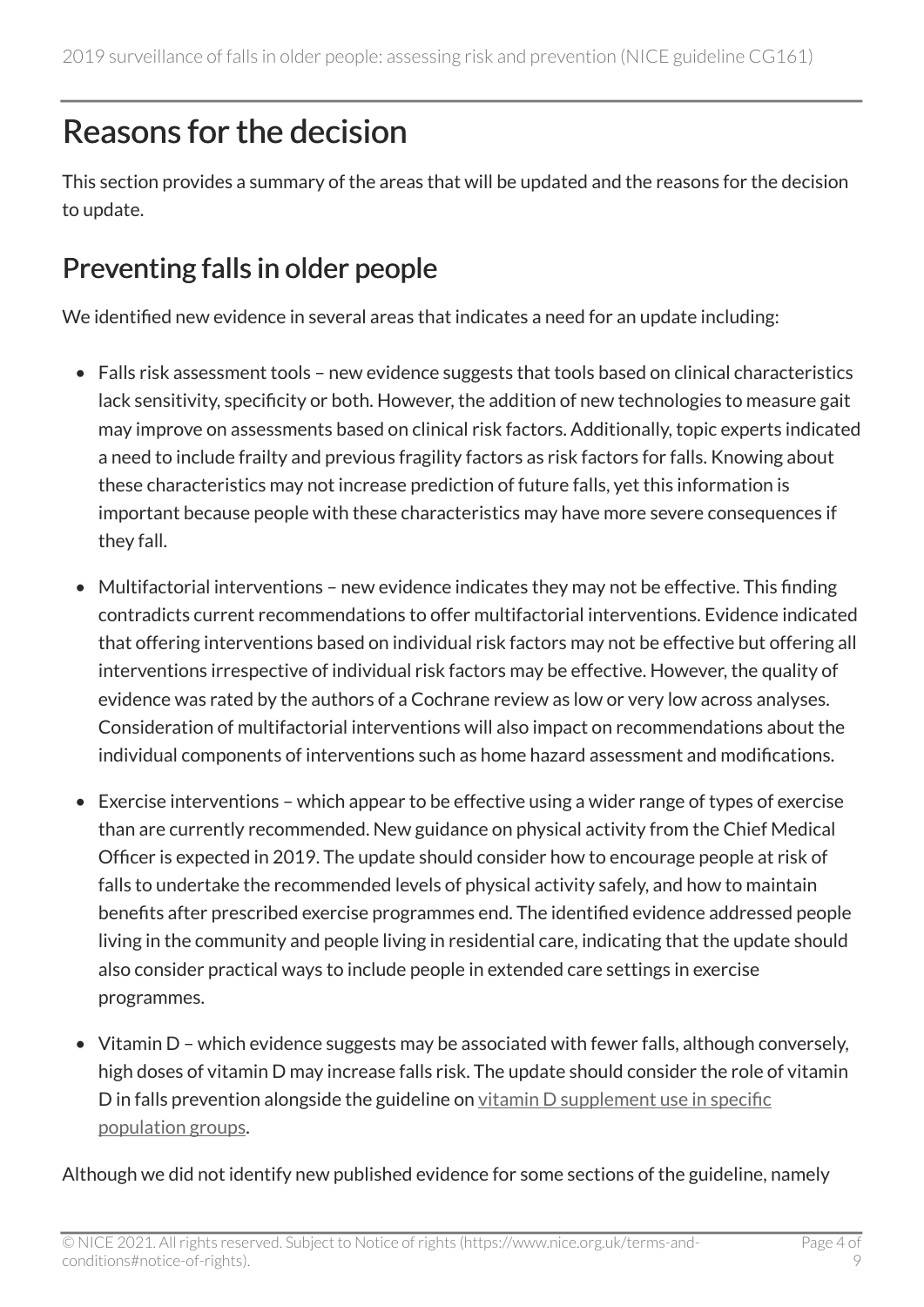## <span id="page-3-0"></span>Reasons for the decision

This section provides a summary of the areas that will be updated and the reasons for the decision to update.

### Preventing falls in older people

We identified new evidence in several areas that indicates a need for an update including:

- Falls risk assessment tools new evidence suggests that tools based on clinical characteristics lack sensitivity, specificity or both. However, the addition of new technologies to measure gait may improve on assessments based on clinical risk factors. Additionally, topic experts indicated a need to include frailty and previous fragility factors as risk factors for falls. Knowing about these characteristics may not increase prediction of future falls, yet this information is important because people with these characteristics may have more severe consequences if they fall.
- Multifactorial interventions new evidence indicates they may not be effective. This finding contradicts current recommendations to offer multifactorial interventions. Evidence indicated that offering interventions based on individual risk factors may not be effective but offering all interventions irrespective of individual risk factors may be effective. However, the quality of evidence was rated by the authors of a Cochrane review as low or very low across analyses. Consideration of multifactorial interventions will also impact on recommendations about the individual components of interventions such as home hazard assessment and modifications.
- Exercise interventions which appear to be effective using a wider range of types of exercise than are currently recommended. New guidance on physical activity from the Chief Medical Officer is expected in 2019. The update should consider how to encourage people at risk of falls to undertake the recommended levels of physical activity safely, and how to maintain benefits after prescribed exercise programmes end. The identified evidence addressed people living in the community and people living in residential care, indicating that the update should also consider practical ways to include people in extended care settings in exercise programmes.
- Vitamin D which evidence suggests may be associated with fewer falls, although conversely, high doses of vitamin D may increase falls risk. The update should consider the role of vitamin D in falls prevention alongside the guideline on [vitamin D supplement use in specific](https://www.nice.org.uk/guidance/ph56) [population groups](https://www.nice.org.uk/guidance/ph56).

Although we did not identify new published evidence for some sections of the guideline, namely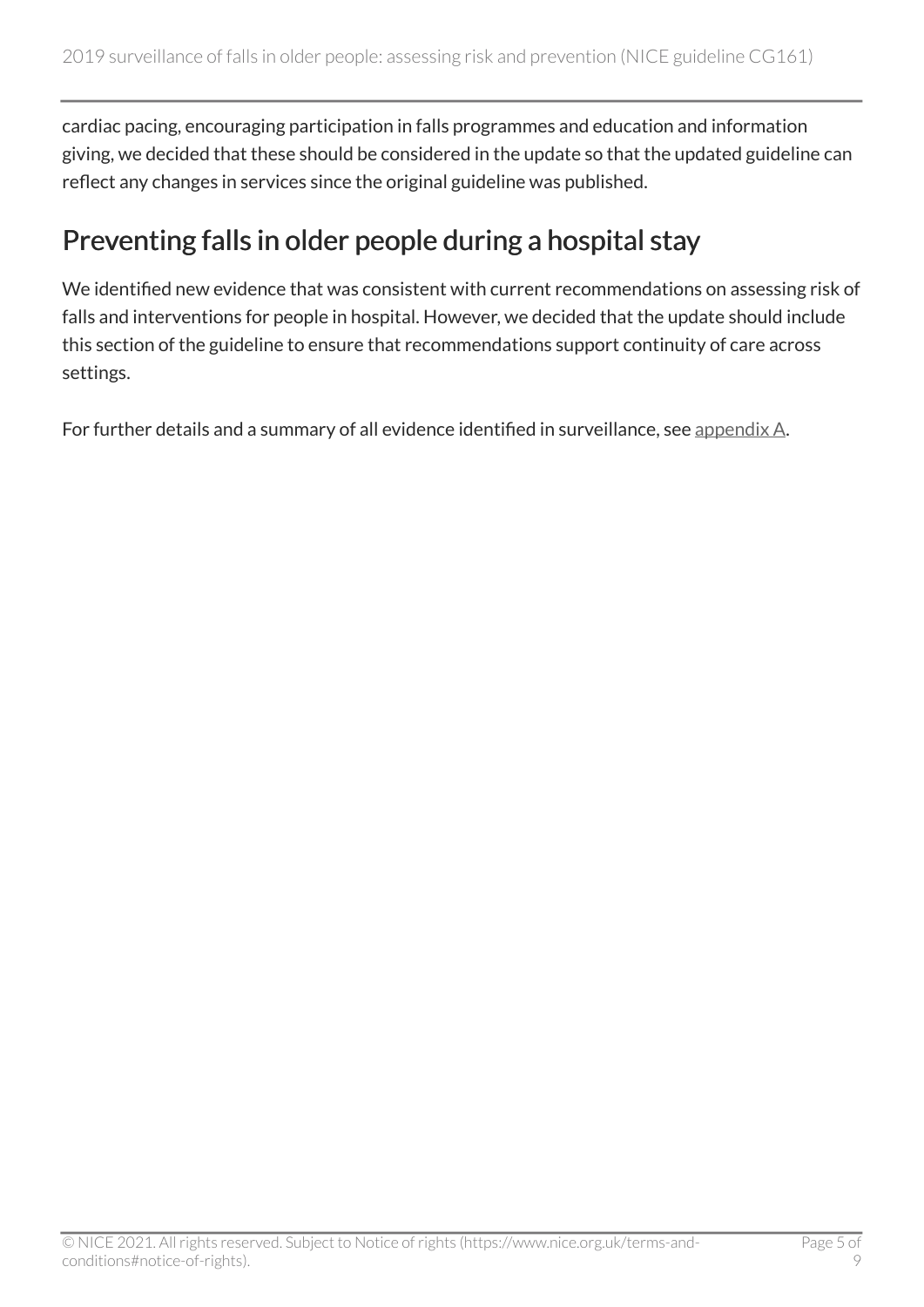cardiac pacing, encouraging participation in falls programmes and education and information giving, we decided that these should be considered in the update so that the updated guideline can reflect any changes in services since the original guideline was published.

#### Preventing falls in older people during a hospital stay

We identified new evidence that was consistent with current recommendations on assessing risk of falls and interventions for people in hospital. However, we decided that the update should include this section of the guideline to ensure that recommendations support continuity of care across settings.

For further details and a summary of all evidence identified in surveillance, see [appendix A](https://www.nice.org.uk/guidance/cg161/evidence/appendix-a-summary-of-evidence-from-surveillance-pdf-6784064894).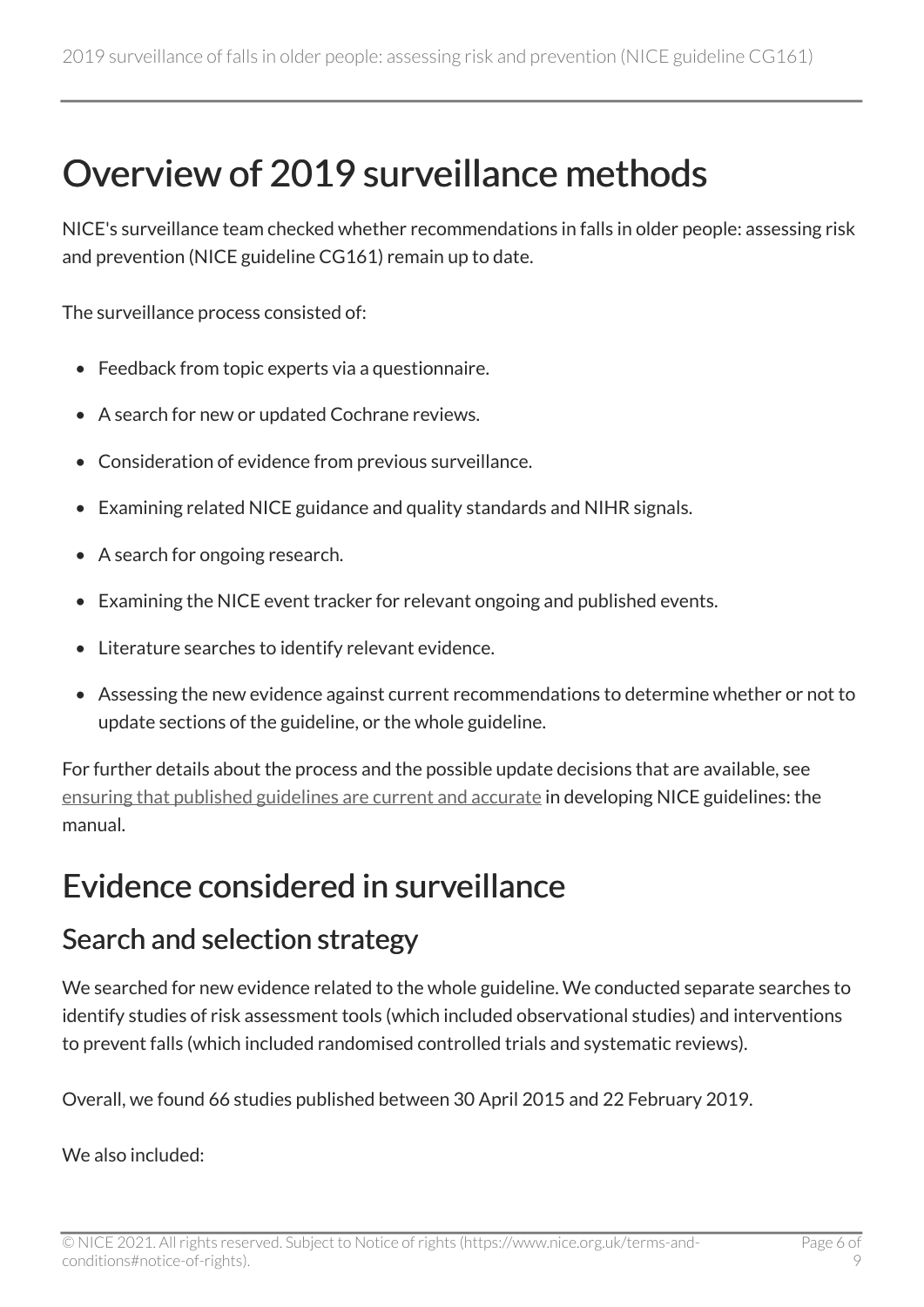## <span id="page-5-0"></span>Overview of 2019 surveillance methods

NICE's surveillance team checked whether recommendations in falls in older people: assessing risk and prevention (NICE guideline CG161) remain up to date.

The surveillance process consisted of:

- Feedback from topic experts via a questionnaire.
- A search for new or updated Cochrane reviews.
- Consideration of evidence from previous surveillance.
- Examining related NICE guidance and quality standards and NIHR signals.
- A search for ongoing research.
- Examining the NICE event tracker for relevant ongoing and published events.
- Literature searches to identify relevant evidence.
- Assessing the new evidence against current recommendations to determine whether or not to update sections of the guideline, or the whole guideline.

For further details about the process and the possible update decisions that are available, see [ensuring that published guidelines are current and accurate](https://www.nice.org.uk/process/pmg20/chapter/ensuring-that-published-guidelines-are-current-and-accurate) in developing NICE guidelines: the manual.

### <span id="page-5-1"></span>Evidence considered in surveillance

#### Search and selection strategy

We searched for new evidence related to the whole guideline. We conducted separate searches to identify studies of risk assessment tools (which included observational studies) and interventions to prevent falls (which included randomised controlled trials and systematic reviews).

Overall, we found 66 studies published between 30 April 2015 and 22 February 2019.

We also included: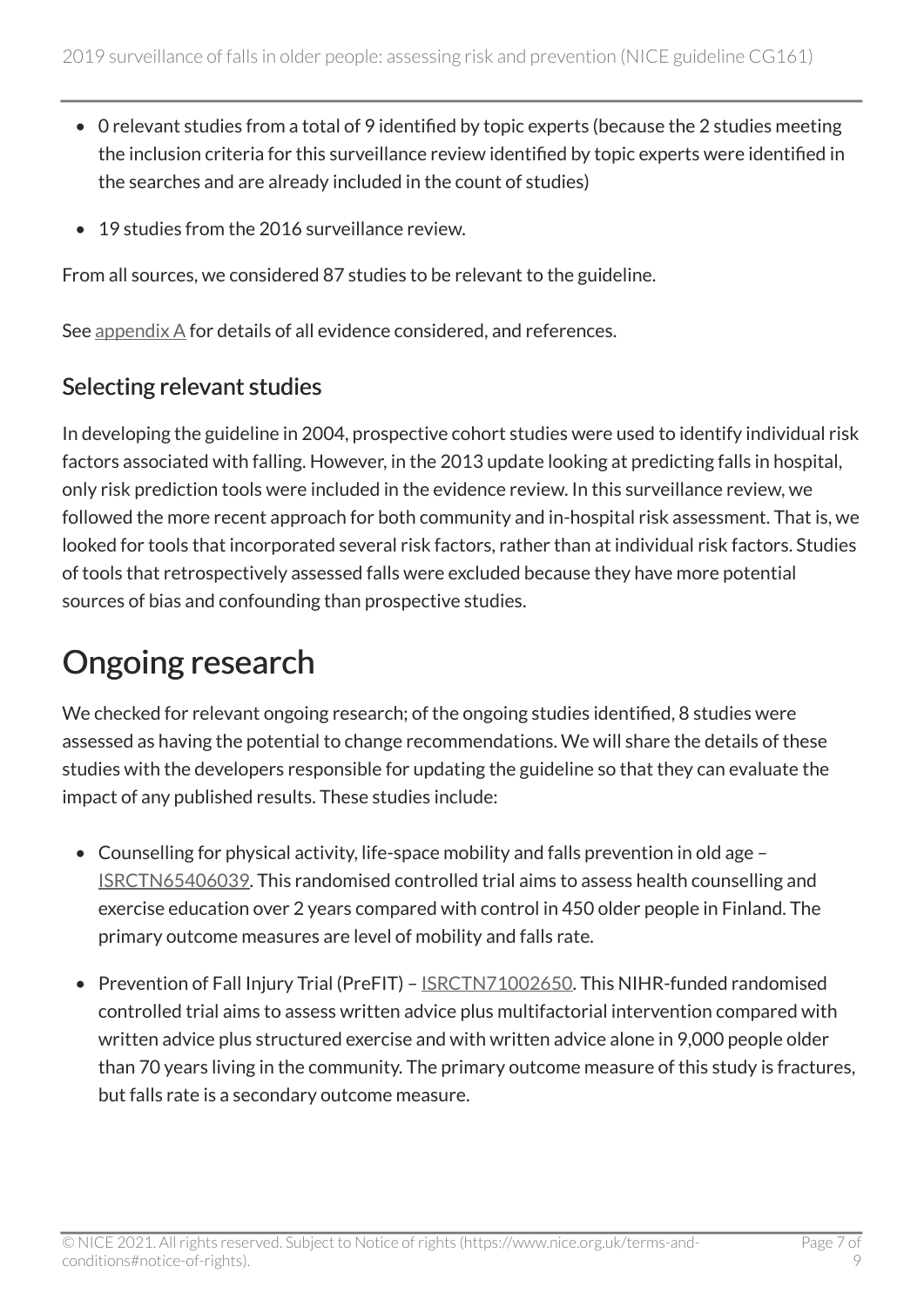- 0 relevant studies from a total of 9 identified by topic experts (because the 2 studies meeting the inclusion criteria for this surveillance review identified by topic experts were identified in the searches and are already included in the count of studies)
- 19 studies from the 2016 surveillance review.

From all sources, we considered 87 studies to be relevant to the guideline.

See [appendix A](https://www.nice.org.uk/guidance/cg161/evidence/appendix-a-summary-of-evidence-from-surveillance-pdf-6784064894) for details of all evidence considered, and references.

#### Selecting relevant studies

In developing the guideline in 2004, prospective cohort studies were used to identify individual risk factors associated with falling. However, in the 2013 update looking at predicting falls in hospital, only risk prediction tools were included in the evidence review. In this surveillance review, we followed the more recent approach for both community and in-hospital risk assessment. That is, we looked for tools that incorporated several risk factors, rather than at individual risk factors. Studies of tools that retrospectively assessed falls were excluded because they have more potential sources of bias and confounding than prospective studies.

## <span id="page-6-0"></span>Ongoing research

We checked for relevant ongoing research; of the ongoing studies identified, 8 studies were assessed as having the potential to change recommendations. We will share the details of these studies with the developers responsible for updating the guideline so that they can evaluate the impact of any published results. These studies include:

- Counselling for physical activity, life-space mobility and falls prevention in old age [ISRCTN65406039.](http://www.isrctn.com/ISRCTN65406039) This randomised controlled trial aims to assess health counselling and exercise education over 2 years compared with control in 450 older people in Finland. The primary outcome measures are level of mobility and falls rate.
- Prevention of Fall Injury Trial (PreFIT) **[ISRCTN71002650](http://www.isrctn.com/ISRCTN71002650)</u>**. This NIHR-funded randomised controlled trial aims to assess written advice plus multifactorial intervention compared with written advice plus structured exercise and with written advice alone in 9,000 people older than 70 years living in the community. The primary outcome measure of this study is fractures, but falls rate is a secondary outcome measure.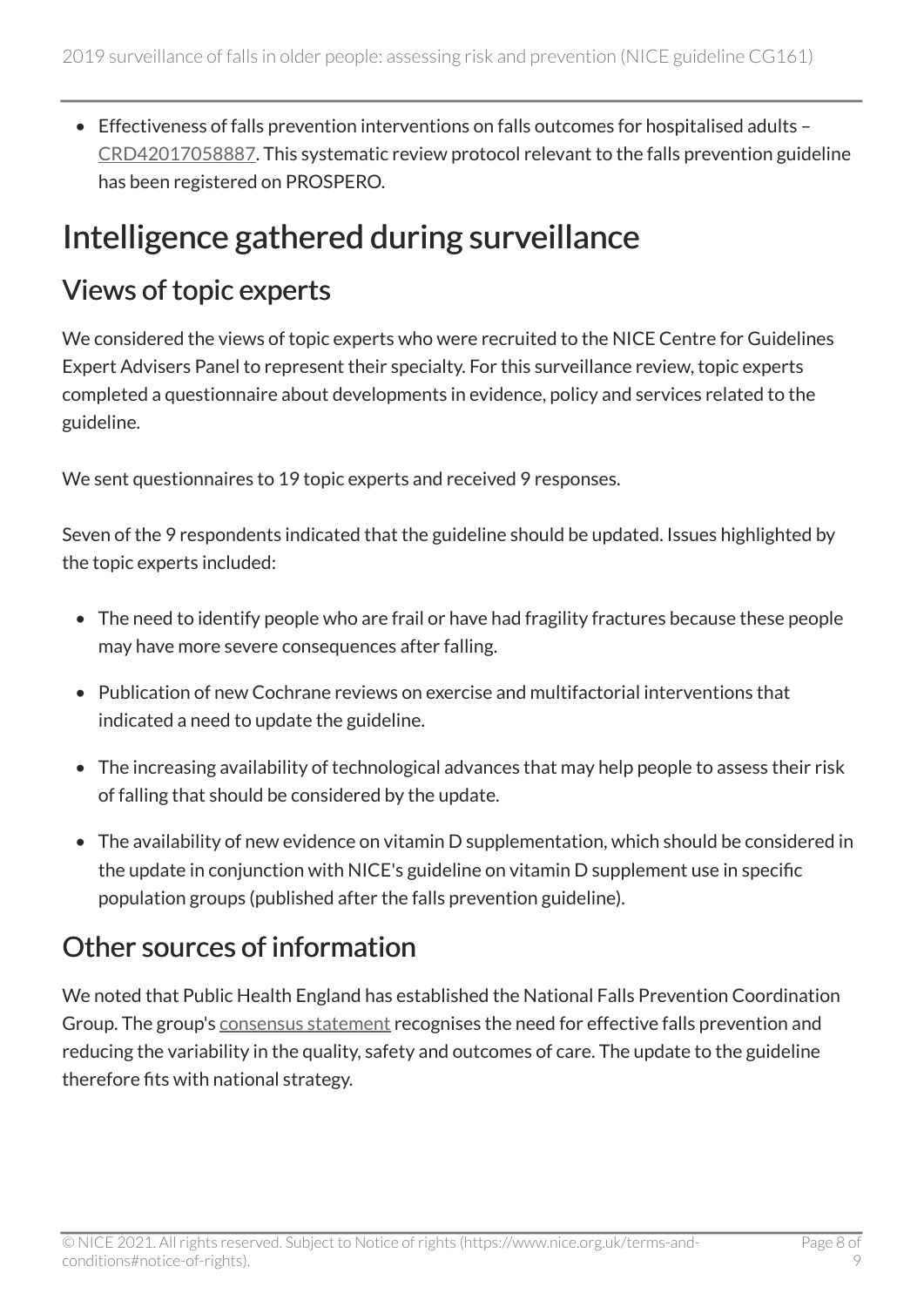• Effectiveness of falls prevention interventions on falls outcomes for hospitalised adults – [CRD42017058887.](https://www.crd.york.ac.uk/prospero/display_record.php?RecordID=58887) This systematic review protocol relevant to the falls prevention guideline has been registered on PROSPERO.

## <span id="page-7-0"></span>Intelligence gathered during surveillance

#### Views of topic experts

We considered the views of topic experts who were recruited to the NICE Centre for Guidelines Expert Advisers Panel to represent their specialty. For this surveillance review, topic experts completed a questionnaire about developments in evidence, policy and services related to the guideline.

We sent questionnaires to 19 topic experts and received 9 responses.

Seven of the 9 respondents indicated that the guideline should be updated. Issues highlighted by the topic experts included:

- The need to identify people who are frail or have had fragility fractures because these people may have more severe consequences after falling.
- Publication of new Cochrane reviews on exercise and multifactorial interventions that indicated a need to update the guideline.
- The increasing availability of technological advances that may help people to assess their risk of falling that should be considered by the update.
- The availability of new evidence on vitamin D supplementation, which should be considered in the update in conjunction with NICE's guideline on vitamin D supplement use in specific population groups (published after the falls prevention guideline).

#### Other sources of information

We noted that Public Health England has established the National Falls Prevention Coordination Group. The group's [consensus statement](https://www.gov.uk/government/publications/falls-and-fractures-consensus-statement) recognises the need for effective falls prevention and reducing the variability in the quality, safety and outcomes of care. The update to the guideline therefore fits with national strategy.